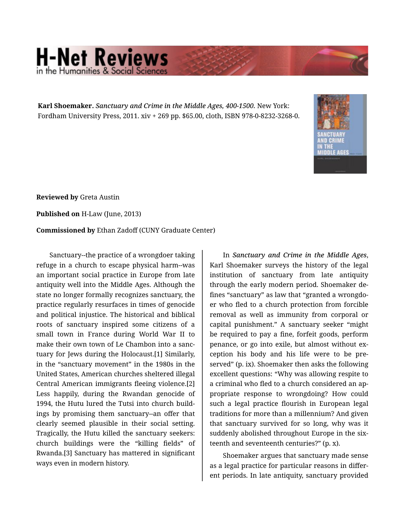## **H-Net Reviews** in the Humanities & Social Scie

**Karl Shoemaker.** *Sanctuary and Crime in the Middle Ages, 400-1500.* New York: Fordham University Press, 2011. xiv + 269 pp. \$65.00, cloth, ISBN 978-0-8232-3268-0.



**Reviewed by** Greta Austin

**Published on** H-Law (June, 2013)

**Commissioned by** Ethan Zadoff (CUNY Graduate Center)

Sanctuary--the practice of a wrongdoer taking refuge in a church to escape physical harm--was an important social practice in Europe from late antiquity well into the Middle Ages. Although the state no longer formally recognizes sanctuary, the practice regularly resurfaces in times of genocide and political injustice. The historical and biblical roots of sanctuary inspired some citizens of a small town in France during World War II to make their own town of Le Chambon into a sanc‐ tuary for Jews during the Holocaust.[1] Similarly, in the "sanctuary movement" in the 1980s in the United States, American churches sheltered illegal Central American immigrants fleeing violence.[2] Less happily, during the Rwandan genocide of 1994, the Hutu lured the Tutsi into church build‐ ings by promising them sanctuary--an offer that clearly seemed plausible in their social setting. Tragically, the Hutu killed the sanctuary seekers: church buildings were the "killing fields" of Rwanda.[3] Sanctuary has mattered in significant ways even in modern history.

In *Sanctuary and Crime in the Middle Ages*, Karl Shoemaker surveys the history of the legal institution of sanctuary from late antiquity through the early modern period. Shoemaker de‐ fines "sanctuary" as law that "granted a wrongdo‐ er who fled to a church protection from forcible removal as well as immunity from corporal or capital punishment." A sanctuary seeker "might be required to pay a fine, forfeit goods, perform penance, or go into exile, but almost without exception his body and his life were to be pre‐ served" (p. ix). Shoemaker then asks the following excellent questions: "Why was allowing respite to a criminal who fled to a church considered an ap‐ propriate response to wrongdoing? How could such a legal practice flourish in European legal traditions for more than a millennium? And given that sanctuary survived for so long, why was it suddenly abolished throughout Europe in the six‐ teenth and seventeenth centuries?" (p. x).

Shoemaker argues that sanctuary made sense as a legal practice for particular reasons in differ‐ ent periods. In late antiquity, sanctuary provided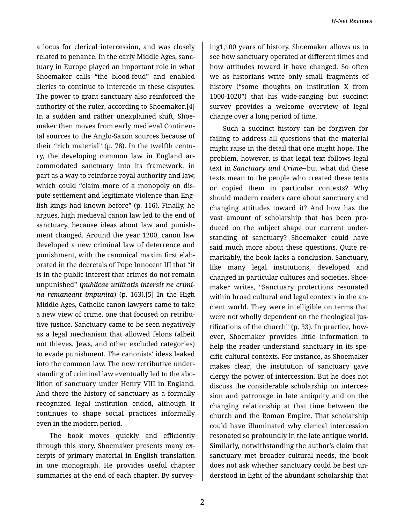a locus for clerical intercession, and was closely related to penance. In the early Middle Ages, sanc‐ tuary in Europe played an important role in what Shoemaker calls "the blood-feud" and enabled clerics to continue to intercede in these disputes. The power to grant sanctuary also reinforced the authority of the ruler, according to Shoemaker.[4] In a sudden and rather unexplained shift, Shoe‐ maker then moves from early medieval Continen‐ tal sources to the Anglo-Saxon sources because of their "rich material" (p. 78). In the twelfth centu‐ ry, the developing common law in England ac‐ commodated sanctuary into its framework, in part as a way to reinforce royal authority and law, which could "claim more of a monopoly on dis‐ pute settlement and legitimate violence than Eng‐ lish kings had known before" (p. 116). Finally, he argues, high medieval canon law led to the end of sanctuary, because ideas about law and punish‐ ment changed. Around the year 1200, canon law developed a new criminal law of deterrence and punishment, with the canonical maxim first elab‐ orated in the decretals of Pope Innocent III that "it is in the public interest that crimes do not remain unpunished" (*publicae utilitatis intersit ne crimi‐ na remaneant impunita*) (p. 163).[5] In the High Middle Ages, Catholic canon lawyers came to take a new view of crime, one that focused on retribu‐ tive justice. Sanctuary came to be seen negatively as a legal mechanism that allowed felons (albeit not thieves, Jews, and other excluded categories) to evade punishment. The canonists' ideas leaked into the common law. The new retributive under‐ standing of criminal law eventually led to the abo‐ lition of sanctuary under Henry VIII in England. And there the history of sanctuary as a formally recognized legal institution ended, although it continues to shape social practices informally even in the modern period.

The book moves quickly and efficiently through this story. Shoemaker presents many ex‐ cerpts of primary material in English translation in one monograph. He provides useful chapter summaries at the end of each chapter. By survey‐

ing1,100 years of history, Shoemaker allows us to see how sanctuary operated at different times and how attitudes toward it have changed. So often we as historians write only small fragments of history ("some thoughts on institution X from 1000-1020") that his wide-ranging but succinct survey provides a welcome overview of legal change over a long period of time.

Such a succinct history can be forgiven for failing to address all questions that the material might raise in the detail that one might hope. The problem, however, is that legal text follows legal text in *Sanctuary and Crime--*but what did these texts mean to the people who created these texts or copied them in particular contexts? Why should modern readers care about sanctuary and changing attitudes toward it? And how has the vast amount of scholarship that has been pro‐ duced on the subject shape our current under‐ standing of sanctuary? Shoemaker could have said much more about these questions. Quite re‐ markably, the book lacks a conclusion. Sanctuary, like many legal institutions, developed and changed in particular cultures and societies. Shoe‐ maker writes, "Sanctuary protections resonated within broad cultural and legal contexts in the an‐ cient world. They were intelligible on terms that were not wholly dependent on the theological justifications of the church" (p. 33). In practice, how‐ ever, Shoemaker provides little information to help the reader understand sanctuary in its specific cultural contexts. For instance, as Shoemaker makes clear, the institution of sanctuary gave clergy the power of intercession. But he does not discuss the considerable scholarship on interces‐ sion and patronage in late antiquity and on the changing relationship at that time between the church and the Roman Empire. That scholarship could have illuminated why clerical intercession resonated so profoundly in the late antique world. Similarly, notwithstanding the author's claim that sanctuary met broader cultural needs, the book does not ask whether sanctuary could be best un‐ derstood in light of the abundant scholarship that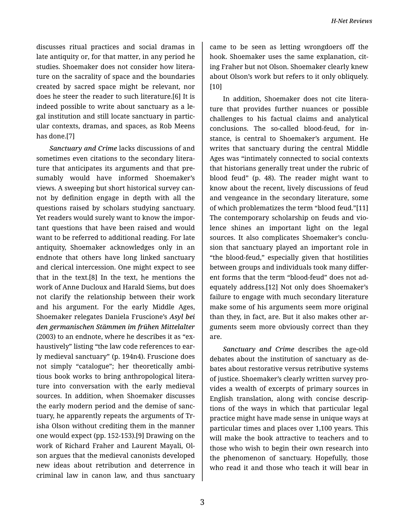discusses ritual practices and social dramas in late antiquity or, for that matter, in any period he studies. Shoemaker does not consider how litera‐ ture on the sacrality of space and the boundaries created by sacred space might be relevant, nor does he steer the reader to such literature.[6] It is indeed possible to write about sanctuary as a le‐ gal institution and still locate sanctuary in partic‐ ular contexts, dramas, and spaces, as Rob Meens has done.[7]

*Sanctuary and Crime* lacks discussions of and sometimes even citations to the secondary litera‐ ture that anticipates its arguments and that pre‐ sumably would have informed Shoemaker's views. A sweeping but short historical survey can‐ not by definition engage in depth with all the questions raised by scholars studying sanctuary. Yet readers would surely want to know the impor‐ tant questions that have been raised and would want to be referred to additional reading. For late antiquity, Shoemaker acknowledges only in an endnote that others have long linked sanctuary and clerical intercession. One might expect to see that in the text.[8] In the text, he mentions the work of Anne Ducloux and Harald Siems, but does not clarify the relationship between their work and his argument. For the early Middle Ages, Shoemaker relegates Daniela Fruscione's *Asyl bei den germanischen Stämmen im frühen Mittelalter* (2003) to an endnote, where he describes it as "ex‐ haustively" listing "the law code references to ear‐ ly medieval sanctuary" (p. 194n4). Fruscione does not simply "catalogue"; her theoretically ambi‐ tious book works to bring anthropological litera‐ ture into conversation with the early medieval sources. In addition, when Shoemaker discusses the early modern period and the demise of sanc‐ tuary, he apparently repeats the arguments of Tr‐ isha Olson without crediting them in the manner one would expect (pp. 152-153).[9] Drawing on the work of Richard Fraher and Laurent Mayali, Ol‐ son argues that the medieval canonists developed new ideas about retribution and deterrence in criminal law in canon law, and thus sanctuary

came to be seen as letting wrongdoers off the hook. Shoemaker uses the same explanation, cit‐ ing Fraher but not Olson. Shoemaker clearly knew about Olson's work but refers to it only obliquely. [10]

In addition, Shoemaker does not cite litera‐ ture that provides further nuances or possible challenges to his factual claims and analytical conclusions. The so-called blood-feud, for in‐ stance, is central to Shoemaker's argument. He writes that sanctuary during the central Middle Ages was "intimately connected to social contexts that historians generally treat under the rubric of blood feud" (p. 48). The reader might want to know about the recent, lively discussions of feud and vengeance in the secondary literature, some of which problematizes the term "blood feud."[11] The contemporary scholarship on feuds and vio‐ lence shines an important light on the legal sources. It also complicates Shoemaker's conclu‐ sion that sanctuary played an important role in "the blood-feud," especially given that hostilities between groups and individuals took many differ‐ ent forms that the term "blood-feud" does not ad‐ equately address.[12] Not only does Shoemaker's failure to engage with much secondary literature make some of his arguments seem more original than they, in fact, are. But it also makes other ar‐ guments seem more obviously correct than they are.

*Sanctuary and Crime* describes the age-old debates about the institution of sanctuary as de‐ bates about restorative versus retributive systems of justice. Shoemaker's clearly written survey pro‐ vides a wealth of excerpts of primary sources in English translation, along with concise descrip‐ tions of the ways in which that particular legal practice might have made sense in unique ways at particular times and places over 1,100 years. This will make the book attractive to teachers and to those who wish to begin their own research into the phenomenon of sanctuary. Hopefully, those who read it and those who teach it will bear in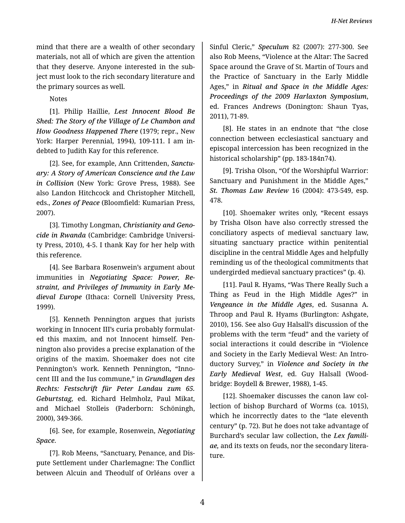mind that there are a wealth of other secondary materials, not all of which are given the attention that they deserve. Anyone interested in the subject must look to the rich secondary literature and the primary sources as well.

**Notes** 

[1]. Philip Haillie, Lest Innocent Blood Be Shed: The Story of the Village of Le Chambon and How Goodness Happened There (1979; repr., New York: Harper Perennial, 1994), 109-111. I am indebted to Judith Kay for this reference.

[2]. See, for example, Ann Crittenden, Sanctuary: A Story of American Conscience and the Law in Collision (New York: Grove Press, 1988). See also Landon Hitchcock and Christopher Mitchell, eds., Zones of Peace (Bloomfield: Kumarian Press, 2007).

[3]. Timothy Longman, Christianity and Genocide in Rwanda (Cambridge: Cambridge University Press, 2010), 4-5. I thank Kay for her help with this reference.

[4]. See Barbara Rosenwein's argument about immunities in Negotiating Space: Power, Restraint, and Privileges of Immunity in Early Medieval Europe (Ithaca: Cornell University Press, 1999).

[5]. Kenneth Pennington argues that jurists working in Innocent III's curia probably formulated this maxim, and not Innocent himself. Pennington also provides a precise explanation of the origins of the maxim. Shoemaker does not cite Pennington's work. Kenneth Pennington, "Innocent III and the Ius commune," in Grundlagen des Rechts: Festschrift für Peter Landau zum 65. Geburtstag, ed. Richard Helmholz, Paul Mikat, and Michael Stolleis (Paderborn: Schöningh, 2000), 349-366.

[6]. See, for example, Rosenwein, Negotiating Space.

[7]. Rob Meens, "Sanctuary, Penance, and Dispute Settlement under Charlemagne: The Conflict between Alcuin and Theodulf of Orléans over a

Sinful Cleric," Speculum 82 (2007): 277-300. See also Rob Meens, "Violence at the Altar: The Sacred Space around the Grave of St. Martin of Tours and the Practice of Sanctuary in the Early Middle Ages," in Ritual and Space in the Middle Ages: Proceedings of the 2009 Harlaxton Symposium, ed. Frances Andrews (Donington: Shaun Tyas, 2011), 71-89.

[8]. He states in an endnote that "the close connection between ecclesiastical sanctuary and episcopal intercession has been recognized in the historical scholarship" (pp. 183-184n74).

[9]. Trisha Olson, "Of the Worshipful Warrior: Sanctuary and Punishment in the Middle Ages," St. Thomas Law Review 16 (2004): 473-549, esp. 478.

[10]. Shoemaker writes only, "Recent essays by Trisha Olson have also correctly stressed the conciliatory aspects of medieval sanctuary law, situating sanctuary practice within penitential discipline in the central Middle Ages and helpfully reminding us of the theological commitments that undergirded medieval sanctuary practices" (p. 4).

[11]. Paul R. Hyams, "Was There Really Such a Thing as Feud in the High Middle Ages?" in Vengeance in the Middle Ages, ed. Susanna A. Throop and Paul R. Hyams (Burlington: Ashgate, 2010), 156. See also Guy Halsall's discussion of the problems with the term "feud" and the variety of social interactions it could describe in "Violence and Society in the Early Medieval West: An Introductory Survey," in Violence and Society in the Early Medieval West, ed. Guy Halsall (Woodbridge: Boydell & Brewer, 1988), 1-45.

[12]. Shoemaker discusses the canon law collection of bishop Burchard of Worms (ca. 1015), which he incorrectly dates to the "late eleventh" century" (p. 72). But he does not take advantage of Burchard's secular law collection, the Lex familiae, and its texts on feuds, nor the secondary literature.